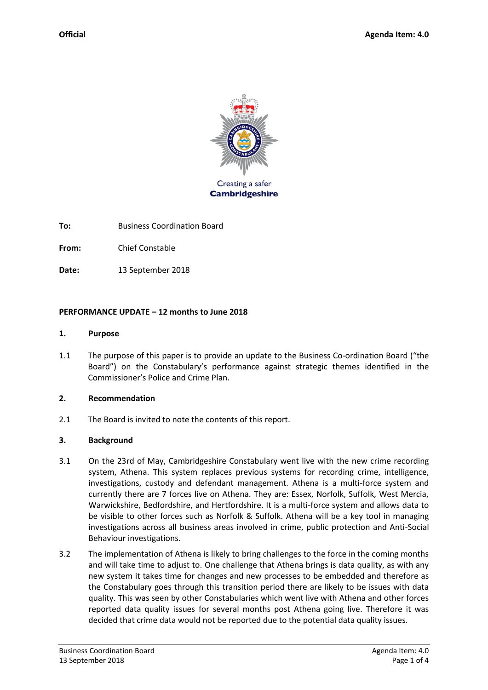

**To:** Business Coordination Board

**From:** Chief Constable

**Date:** 13 September 2018

#### **PERFORMANCE UPDATE – 12 months to June 2018**

#### **1. Purpose**

1.1 The purpose of this paper is to provide an update to the Business Co-ordination Board ("the Board") on the Constabulary's performance against strategic themes identified in the Commissioner's Police and Crime Plan.

#### **2. Recommendation**

2.1 The Board is invited to note the contents of this report.

#### **3. Background**

- 3.1 On the 23rd of May, Cambridgeshire Constabulary went live with the new crime recording system, Athena. This system replaces previous systems for recording crime, intelligence, investigations, custody and defendant management. Athena is a multi-force system and currently there are 7 forces live on Athena. They are: Essex, Norfolk, Suffolk, West Mercia, Warwickshire, Bedfordshire, and Hertfordshire. It is a multi-force system and allows data to be visible to other forces such as Norfolk & Suffolk. Athena will be a key tool in managing investigations across all business areas involved in crime, public protection and Anti-Social Behaviour investigations.
- 3.2 The implementation of Athena is likely to bring challenges to the force in the coming months and will take time to adjust to. One challenge that Athena brings is data quality, as with any new system it takes time for changes and new processes to be embedded and therefore as the Constabulary goes through this transition period there are likely to be issues with data quality. This was seen by other Constabularies which went live with Athena and other forces reported data quality issues for several months post Athena going live. Therefore it was decided that crime data would not be reported due to the potential data quality issues.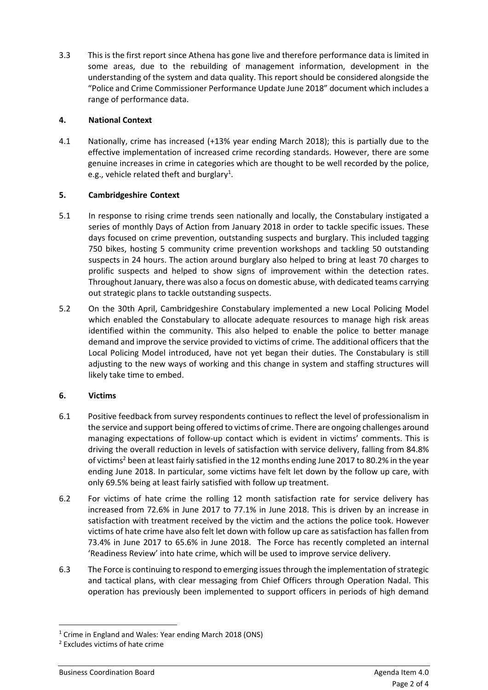3.3 This is the first report since Athena has gone live and therefore performance data is limited in some areas, due to the rebuilding of management information, development in the understanding of the system and data quality. This report should be considered alongside the "Police and Crime Commissioner Performance Update June 2018" document which includes a range of performance data.

# **4. National Context**

4.1 Nationally, crime has increased (+13% year ending March 2018); this is partially due to the effective implementation of increased crime recording standards. However, there are some genuine increases in crime in categories which are thought to be well recorded by the police, e.g., vehicle related theft and burglary<sup>1</sup>.

# **5. Cambridgeshire Context**

- 5.1 In response to rising crime trends seen nationally and locally, the Constabulary instigated a series of monthly Days of Action from January 2018 in order to tackle specific issues. These days focused on crime prevention, outstanding suspects and burglary. This included tagging 750 bikes, hosting 5 community crime prevention workshops and tackling 50 outstanding suspects in 24 hours. The action around burglary also helped to bring at least 70 charges to prolific suspects and helped to show signs of improvement within the detection rates. Throughout January, there was also a focus on domestic abuse, with dedicated teams carrying out strategic plans to tackle outstanding suspects.
- 5.2 On the 30th April, Cambridgeshire Constabulary implemented a new Local Policing Model which enabled the Constabulary to allocate adequate resources to manage high risk areas identified within the community. This also helped to enable the police to better manage demand and improve the service provided to victims of crime. The additional officers that the Local Policing Model introduced, have not yet began their duties. The Constabulary is still adjusting to the new ways of working and this change in system and staffing structures will likely take time to embed.

# **6. Victims**

- 6.1 Positive feedback from survey respondents continues to reflect the level of professionalism in the service and support being offered to victims of crime. There are ongoing challenges around managing expectations of follow-up contact which is evident in victims' comments. This is driving the overall reduction in levels of satisfaction with service delivery, falling from 84.8% of victims<sup>2</sup> been at least fairly satisfied in the 12 months ending June 2017 to 80.2% in the year ending June 2018. In particular, some victims have felt let down by the follow up care, with only 69.5% being at least fairly satisfied with follow up treatment.
- 6.2 For victims of hate crime the rolling 12 month satisfaction rate for service delivery has increased from 72.6% in June 2017 to 77.1% in June 2018. This is driven by an increase in satisfaction with treatment received by the victim and the actions the police took. However victims of hate crime have also felt let down with follow up care as satisfaction has fallen from 73.4% in June 2017 to 65.6% in June 2018. The Force has recently completed an internal 'Readiness Review' into hate crime, which will be used to improve service delivery.
- 6.3 The Force is continuing to respond to emerging issues through the implementation of strategic and tactical plans, with clear messaging from Chief Officers through Operation Nadal. This operation has previously been implemented to support officers in periods of high demand

**.** 

<sup>&</sup>lt;sup>1</sup> Crime in England and Wales: Year ending March 2018 (ONS)

<sup>2</sup> Excludes victims of hate crime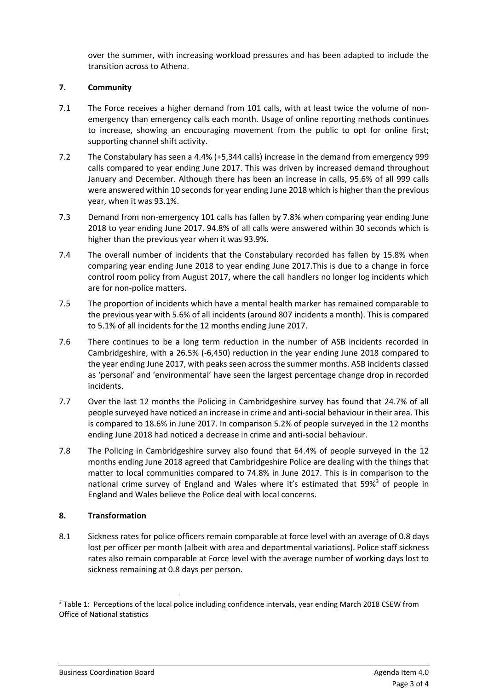over the summer, with increasing workload pressures and has been adapted to include the transition across to Athena.

# **7. Community**

- 7.1 The Force receives a higher demand from 101 calls, with at least twice the volume of nonemergency than emergency calls each month. Usage of online reporting methods continues to increase, showing an encouraging movement from the public to opt for online first; supporting channel shift activity.
- 7.2 The Constabulary has seen a 4.4% (+5,344 calls) increase in the demand from emergency 999 calls compared to year ending June 2017. This was driven by increased demand throughout January and December. Although there has been an increase in calls, 95.6% of all 999 calls were answered within 10 seconds for year ending June 2018 which is higher than the previous year, when it was 93.1%.
- 7.3 Demand from non-emergency 101 calls has fallen by 7.8% when comparing year ending June 2018 to year ending June 2017. 94.8% of all calls were answered within 30 seconds which is higher than the previous year when it was 93.9%.
- 7.4 The overall number of incidents that the Constabulary recorded has fallen by 15.8% when comparing year ending June 2018 to year ending June 2017.This is due to a change in force control room policy from August 2017, where the call handlers no longer log incidents which are for non-police matters.
- 7.5 The proportion of incidents which have a mental health marker has remained comparable to the previous year with 5.6% of all incidents (around 807 incidents a month). This is compared to 5.1% of all incidents for the 12 months ending June 2017.
- 7.6 There continues to be a long term reduction in the number of ASB incidents recorded in Cambridgeshire, with a 26.5% (-6,450) reduction in the year ending June 2018 compared to the year ending June 2017, with peaks seen across the summer months. ASB incidents classed as 'personal' and 'environmental' have seen the largest percentage change drop in recorded incidents.
- 7.7 Over the last 12 months the Policing in Cambridgeshire survey has found that 24.7% of all people surveyed have noticed an increase in crime and anti-social behaviour in their area. This is compared to 18.6% in June 2017. In comparison 5.2% of people surveyed in the 12 months ending June 2018 had noticed a decrease in crime and anti-social behaviour.
- 7.8 The Policing in Cambridgeshire survey also found that 64.4% of people surveyed in the 12 months ending June 2018 agreed that Cambridgeshire Police are dealing with the things that matter to local communities compared to 74.8% in June 2017. This is in comparison to the national crime survey of England and Wales where it's estimated that 59%<sup>3</sup> of people in England and Wales believe the Police deal with local concerns.

# **8. Transformation**

1

8.1 Sickness rates for police officers remain comparable at force level with an average of 0.8 days lost per officer per month (albeit with area and departmental variations). Police staff sickness rates also remain comparable at Force level with the average number of working days lost to sickness remaining at 0.8 days per person.

<sup>&</sup>lt;sup>3</sup> Table 1: Perceptions of the local police including confidence intervals, year ending March 2018 CSEW from Office of National statistics